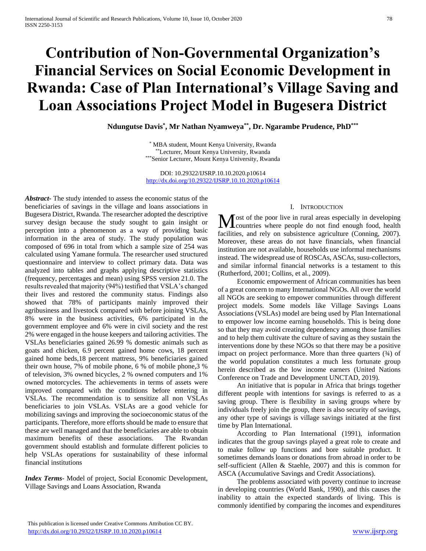# **Contribution of Non-Governmental Organization's Financial Services on Social Economic Development in Rwanda: Case of Plan International's Village Saving and Loan Associations Project Model in Bugesera District**

**Ndungutse Davis\* , Mr Nathan Nyamweya\*\* , Dr. Ngarambe Prudence, PhD\*\*\***

\* MBA student, Mount Kenya University, Rwanda \*\*Lecturer, Mount Kenya University, Rwanda \*\*\*Senior Lecturer, Mount Kenya University, Rwanda

DOI: 10.29322/IJSRP.10.10.2020.p10614 <http://dx.doi.org/10.29322/IJSRP.10.10.2020.p10614>

*Abstract***-** The study intended to assess the economic status of the beneficiaries of savings in the village and loans associations in Bugesera District, Rwanda. The researcher adopted the descriptive survey design because the study sought to gain insight or perception into a phenomenon as a way of providing basic information in the area of study. The study population was composed of 696 in total from which a sample size of 254 was calculated using Yamane formula. The researcher used structured questionnaire and interview to collect primary data. Data was analyzed into tables and graphs applying descriptive statistics (frequency, percentages and mean) using SPSS version 21.0. The results revealed that majority (94%) testified that VSLA's changed their lives and restored the community status. Findings also showed that 78% of participants mainly improved their agribusiness and livestock compared with before joining VSLAs, 8% were in the business activities, 6% participated in the government employee and 6% were in civil society and the rest 2% were engaged in the house keepers and tailoring activities. The VSLAs beneficiaries gained 26.99 % domestic animals such as goats and chicken, 6.9 percent gained home cows, 18 percent gained home beds,18 percent mattress, 9% beneficiaries gained their own house, 7% of mobile phone, 6 % of mobile phone,3 % of television, 3% owned bicycles, 2 % owned computers and 1% owned motorcycles. The achievements in terms of assets were improved compared with the conditions before entering in VSLAs. The recommendation is to sensitize all non VSLAs beneficiaries to join VSLAs. VSLAs are a good vehicle for mobilizing savings and improving the socioeconomic status of the participants. Therefore, more efforts should be made to ensure that these are well managed and that the beneficiaries are able to obtain maximum benefits of these associations. The Rwandan government should establish and formulate different policies to help VSLAs operations for sustainability of these informal financial institutions

*Index Terms*- Model of project, Social Economic Development, Village Savings and Loans Association, Rwanda

## I. INTRODUCTION

ost of the poor live in rural areas especially in developing Most of the poor live in rural areas especially in developing<br>countries where people do not find enough food, health facilities, and rely on subsistence agriculture (Conning, 2007). Moreover, these areas do not have financials, when financial institution are not available, households use informal mechanisms instead. The widespread use of ROSCAs, ASCAs, susu-collectors, and similar informal financial networks is a testament to this (Rutherford, 2001; Collins, et al., 2009).

 Economic empowerment of African communities has been of a great concern to many International NGOs. All over the world all NGOs are seeking to empower communities through different project models. Some models like Village Savings Loans Associations (VSLAs) model are being used by Plan International to empower low income earning households. This is being done so that they may avoid creating dependency among those families and to help them cultivate the culture of saving as they sustain the interventions done by these NGOs so that there may be a positive impact on project performance. More than three quarters (¾) of the world population constitutes a much less fortunate group herein described as the low income earners (United Nations Conference on Trade and Development UNCTAD, 2019).

 An initiative that is popular in Africa that brings together different people with intentions for savings is referred to as a saving group. There is flexibility in saving groups where by individuals freely join the group, there is also security of savings, any other type of savings is village savings initiated at the first time by Plan International.

 According to Plan International (1991), information indicates that the group savings played a great role to create and to make follow up functions and bore suitable product. It sometimes demands loans or donations from abroad in order to be self-sufficient (Allen & Staehle, 2007) and this is common for ASCA (Accumulative Savings and Credit Associations).

 The problems associated with poverty continue to increase in developing countries (World Bank, 1990), and this causes the inability to attain the expected standards of living. This is commonly identified by comparing the incomes and expenditures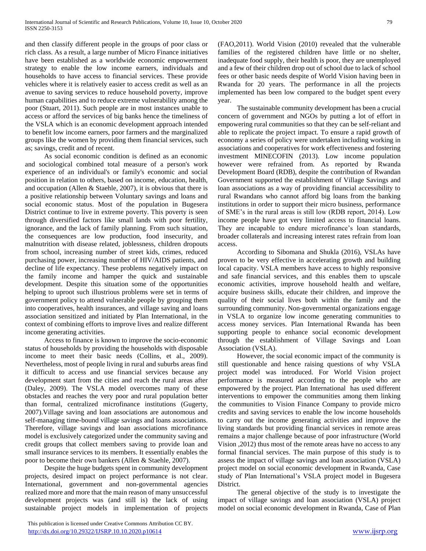and then classify different people in the groups of poor class or rich class. As a result, a large number of Micro Finance initiatives have been established as a worldwide economic empowerment strategy to enable the low income earners, individuals and households to have access to financial services. These provide vehicles where it is relatively easier to access credit as well as an avenue to saving services to reduce household poverty, improve human capabilities and to reduce extreme vulnerability among the poor (Stuart, 2011). Such people are in most instances unable to access or afford the services of big banks hence the timeliness of the VSLA which is an economic development approach intended to benefit low income earners, poor farmers and the marginalized groups like the women by providing them financial services, such as; savings, credit and of recent.

 As social economic condition is defined as an economic and sociological combined total measure of a person's work experience of an individual's or family's economic and social position in relation to others, based on income, education, health, and occupation (Allen & Staehle, 2007), it is obvious that there is a positive relationship between Voluntary savings and loans and social economic status. Most of the population in Bugesera District continue to live in extreme poverty. This poverty is seen through diversified factors like small lands with poor fertility, ignorance, and the lack of family planning. From such situation, the consequences are low production, food insecurity, and malnutrition with disease related, joblessness, children dropouts from school, increasing number of street kids, crimes, reduced purchasing power, increasing number of HIV/AIDS patients, and decline of life expectancy. These problems negatively impact on the family income and hamper the quick and sustainable development. Despite this situation some of the opportunities helping to uproot such illustrious problems were set in terms of government policy to attend vulnerable people by grouping them into cooperatives, health insurances, and village saving and loans association sensitized and initiated by Plan International, in the context of combining efforts to improve lives and realize different income generating activities.

 Access to finance is known to improve the socio-economic status of households by providing the households with disposable income to meet their basic needs (Collins, et al., 2009). Nevertheless, most of people living in rural and suburbs areas find it difficult to access and use financial services because any development start from the cities and reach the rural areas after (Daley, 2009). The VSLA model overcomes many of these obstacles and reaches the very poor and rural population better than formal, centralized microfinance institutions (Gugerty, 2007).Village saving and loan associations are autonomous and self-managing time-bound village savings and loans associations. Therefore, village savings and loan associations microfinance model is exclusively categorized under the community saving and credit groups that collect members saving to provide loan and small insurance services to its members. It essentially enables the poor to become their own bankers (Allen & Staehle, 2007).

 Despite the huge budgets spent in community development projects, desired impact on project performance is not clear. International, government and non-governmental agencies realized more and more that the main reason of many unsuccessful development projects was (and still is) the lack of using sustainable project models in implementation of projects

 This publication is licensed under Creative Commons Attribution CC BY. <http://dx.doi.org/10.29322/IJSRP.10.10.2020.p10614> [www.ijsrp.org](http://ijsrp.org/)

(FAO,2011). World Vision (2010) revealed that the vulnerable families of the registered children have little or no shelter, inadequate food supply, their health is poor, they are unemployed and a few of their children drop out of school due to lack of school fees or other basic needs despite of World Vision having been in Rwanda for 20 years. The performance in all the projects implemented has been low compared to the budget spent every year.

 The sustainable community development has been a crucial concern of government and NGOs by putting a lot of effort in empowering rural communities so that they can be self-reliant and able to replicate the project impact. To ensure a rapid growth of economy a series of policy were undertaken including working in associations and cooperatives for work effectiveness and fostering investment MINECOFIN (2013). Low income population however were refrained from. As reported by Rwanda Development Board (RDB), despite the contribution of Rwandan Government supported the establishment of Village Savings and loan associations as a way of providing financial accessibility to rural Rwandans who cannot afford big loans from the banking institutions in order to support their micro business, performance of SME's in the rural areas is still low (RDB report, 2014). Low income people have got very limited access to financial loans. They are incapable to endure microfinance's loan standards, broader collaterals and increasing interest rates refrain from loan access.

 According to Sibomana and Shukla (2016), VSLAs have proven to be very effective in accelerating growth and building local capacity. VSLA members have access to highly responsive and safe financial services, and this enables them to upscale economic activities, improve household health and welfare, acquire business skills, educate their children, and improve the quality of their social lives both within the family and the surrounding community. Non-governmental organizations engage in VSLA to organize low income generating communities to access money services. Plan International Rwanda has been supporting people to enhance social economic development through the establishment of Village Savings and Loan Association (VSLA).

 However, the social economic impact of the community is still questionable and hence raising questions of why VSLA project model was introduced. For World Vision project performance is measured according to the people who are empowered by the project. Plan International has used different interventions to empower the communities among them linking the communities to Vision Finance Company to provide micro credits and saving services to enable the low income households to carry out the income generating activities and improve the living standards but providing financial services in remote areas remains a major challenge because of poor infrastructure (World Vision ,2012) thus most of the remote areas have no access to any formal financial services. The main purpose of this study is to assess the impact of village savings and loan association (VSLA) project model on social economic development in Rwanda, Case study of Plan International's VSLA project model in Bugesera District.

 The general objective of the study is to investigate the impact of village savings and loan association (VSLA) project model on social economic development in Rwanda, Case of Plan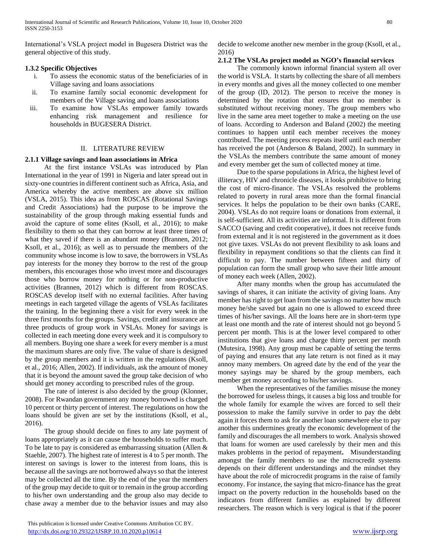International's VSLA project model in Bugesera District was the general objective of this study.

## **1.3.2 Specific Objectives**

- i. To assess the economic status of the beneficiaries of in Village saving and loans associations
- ii. To examine family social economic development for members of the Village saving and loans associations
- iii. To examine how VSLAs empower family towards enhancing risk management and resilience for households in BUGESERA District.

## II. LITERATURE REVIEW

## **2.1.1 Village savings and loan associations in Africa**

 At the first instance VSLAs was introduced by Plan International in the year of 1991 in Nigeria and later spread out in sixty-one countries in different continent such as Africa, Asia, and America whereby the active members are above six million (VSLA, 2015). This idea as from ROSCAS (Rotational Savings and Credit Associations) had the purpose to be improve the sustainability of the group through making essential funds and avoid the capture of some elites (Ksoll, et al., 2016); to make flexibility to them so that they can borrow at least three times of what they saved if there is an abundant money (Brannen, 2012; Ksoll, et al., 2016); as well as to persuade the members of the community whose income is low to save, the borrowers in VSLAs pay interests for the money they borrow to the rest of the group members, this encourages those who invest more and discourages those who borrow money for nothing or for non-productive activities (Brannen, 2012) which is different from ROSCAS. ROSCAS develop itself with no external facilities. After having meetings in each targeted village the agents of VSLAs facilitates the training. In the beginning there a visit for every week in the three first months for the groups. Savings, credit and insurance are three products of group work in VSLAs. Money for savings is collected in each meeting done every week and it is compulsory to all members. Buying one share a week for every member is a must the maximum shares are only five. The value of share is designed by the group members and it is written in the regulations (Ksoll, et al., 2016; Allen, 2002). If individuals, ask the amount of money that it is beyond the amount saved the group take decision of who should get money according to prescribed rules of the group.

 The rate of interest is also decided by the group (Klonner, 2008). For Rwandan government any money borrowed is charged 10 percent or thirty percent of interest. The regulations on how the loans should be given are set by the institutions (Ksoll, et al., 2016).

 The group should decide on fines to any late payment of loans appropriately as it can cause the households to suffer much. To be late to pay is considered as embarrassing situation (Allen & Staehle, 2007). The highest rate of interest is 4 to 5 per month. The interest on savings is lower to the interest from loans, this is because all the savings are not borrowed always so that the interest may be collected all the time. By the end of the year the members of the group may decide to quit or to remain in the group according to his/her own understanding and the group also may decide to chase away a member due to the behavior issues and may also

# **2.1.2 The VSLAs project model as NGO's financial services**

 The commonly known informal financial system all over the world is VSLA. It starts by collecting the share of all members in every months and gives all the money collected to one member of the group (ID, 2012). The person to receive the money is determined by the rotation that ensures that no member is substituted without receiving money. The group members who live in the same area meet together to make a meeting on the use of loans. According to Anderson and Baland (2002) the meeting continues to happen until each member receives the money contributed. The meeting process repeats itself until each member has received the pot (Anderson & Baland, 2002). In summary in the VSLAs the members contribute the same amount of money and every member get the sum of collected money at time.

 Due to the sparse populations in Africa, the highest level of illiteracy, HIV and chronicle diseases, it looks prohibitive to bring the cost of micro-finance. The VSLAs resolved the problems related to poverty in rural areas more than the formal financial services. It helps the population to be their own banks (CARE, 2004). VSLAs do not require loans or donations from external, it is self-sufficient. All its activities are informal. It is different from SACCO (saving and credit cooperative), it does not receive funds from external and it is not registered in the government as it does not give taxes. VSLAs do not prevent flexibility to ask loans and flexibility in repayment conditions so that the clients can find it difficult to pay. The number between fifteen and thirty of population can form the small group who save their little amount of money each week (Allen, 2002).

 After many months when the group has accumulated the savings of shares, it can initiate the activity of giving loans. Any member has right to get loan from the savings no matter how much money he/she saved but again no one is allowed to exceed three times of his/her savings. All the loans here are in short-term type at least one month and the rate of interest should not go beyond 5 percent per month. This is at the lower level compared to other institutions that give loans and charge thirty percent per month (Mutesira, 1998). Any group must be capable of setting the terms of paying and ensures that any late return is not fined as it may annoy many members. On agreed date by the end of the year the money sayings may be shared by the group members, each member get money according to his/her savings.

 When the representatives of the families misuse the money the borrowed for useless things, it causes a big loss and trouble for the whole family for example the wives are forced to sell their possession to make the family survive in order to pay the debt again it forces them to ask for another loan somewhere else to pay another this undermines greatly the economic development of the family and discourages the all members to work. Analysis showed that loans for women are used carelessly by their men and this makes problems in the period of repayment**.** Misunderstanding amongst the family members to use the microcredit systems depends on their different understandings and the mindset they have about the role of microcredit programs in the raise of family economy. For instance, the saying that micro-finance has the great impact on the poverty reduction in the households based on the indicators from different families as explained by different researchers. The reason which is very logical is that if the poorer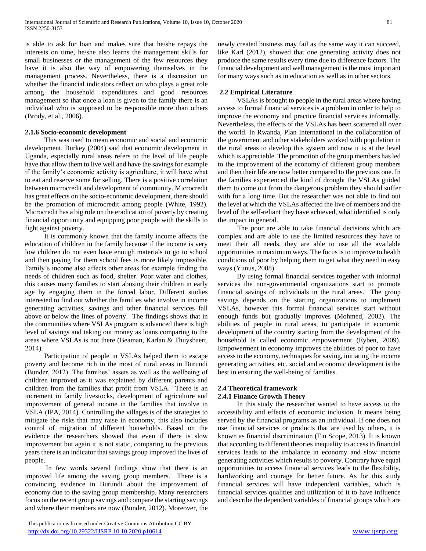is able to ask for loan and makes sure that he/she repays the interests on time, he/she also learns the management skills for small businesses or the management of the few resources they have it is also the way of empowering themselves in the management process. Nevertheless, there is a discussion on whether the financial indicators reflect on who plays a great role among the household expenditures and good resources management so that once a loan is given to the family there is an individual who is supposed to be responsible more than others (Brody, et al., 2006).

## **2.1.6 Socio-economic development**

 This was used to mean economic and social and economic development. Burkey (2004) said that economic development in Uganda, especially rural areas refers to the level of life people have that allow them to live well and have the savings for example if the family's economic activity is agriculture, it will have what to eat and reserve some for selling. There is a positive correlation between microcredit and development of community. Microcredit has great effects on the socio-economic development, there should be the promotion of microcredit among people (White, 1992). Microcredit has a big role on the eradication of poverty by creating financial opportunity and equipping poor people with the skills to fight against poverty.

 It is commonly known that the family income affects the education of children in the family because if the income is very low children do not even have enough materials to go to school and then paying for them school fees is more likely impossible. Family's income also affects other areas for example finding the needs of children such as food, shelter. Poor water and clothes, this causes many families to start abusing their children in early age by engaging them in the forced labor. Different studies interested to find out whether the families who involve in income generating activities, savings and other financial services fall above or below the lines of poverty. The findings shows that in the communities where VSLAs program is advanced there is high level of savings and taking out money as loans comparing to the areas where VSLAs is not there (Beaman, Karlan & Thuysbaert, 2014).

 Participation of people in VSLAs helped them to escape poverty and become rich in the most of rural areas in Burundi (Bunder, 2012). The families' assets as well as the wellbeing of children improved as it was explained by different parents and children from the families that profit from VSLA. There is an increment in family livestocks, development of agriculture and improvement of general income in the families that involve in VSLA (IPA, 2014). Controlling the villages is of the strategies to mitigate the risks that may raise in economy, this also includes control of migration of different households. Based on the evidence the researchers showed that even if there is slow improvement but again it is not static, comparing to the previous years there is an indicator that savings group improved the lives of people.

 In few words several findings show that there is an improved life among the saving group members. There is a convincing evidence in Burundi about the improvement of economy due to the saving group membership. Many researchers focus on the recent group savings and compare the starting savings and where their members are now (Bunder, 2012). Moreover, the

 This publication is licensed under Creative Commons Attribution CC BY. <http://dx.doi.org/10.29322/IJSRP.10.10.2020.p10614> [www.ijsrp.org](http://ijsrp.org/)

newly created business may fail as the same way it can succeed, like Karl (2012), showed that one generating activity does not produce the same results every time due to difference factors. The financial development and well management is the most important for many ways such as in education as well as in other sectors.

## **2.2 Empirical Literature**

 VSLAs is brought to people in the rural areas where having access to formal financial services is a problem in order to help to improve the economy and practice financial services informally. Nevertheless, the effects of the VSLAs has been scattered all over the world. In Rwanda, Plan International in the collaboration of the government and other stakeholders worked with population in the rural areas to develop this system and now it is at the level which is appreciable. The promotion of the group members has led to the improvement of the economy of different group members and then their life are now better compared to the previous one. In the families experienced the kind of drought the VSLAs guided them to come out from the dangerous problem they should suffer with for a long time. But the researcher was not able to find out the level at which the VSLAs affected the live of members and the level of the self-reliant they have achieved, what identified is only the impact in general.

 The poor are able to take financial decisions which are complex and are able to use the limited resources they have to meet their all needs, they are able to use all the available opportunities in maximum ways. The focus is to improve to health conditions of poor by helping them to get what they need in easy ways (Yunus, 2008).

 By using formal financial services together with informal services the non-governmental organizations start to promote financial savings of individuals in the rural areas. The group savings depends on the starting organizations to implement VSLAs, however this formal financial services start without enough funds but gradually improves (Mohmed, 2002). The abilities of people in rural areas, to participate in economic development of the country starting from the development of the household is called economic empowerment (Eyben, 2009). Empowerment in economy improves the abilities of poor to have access to the economy, techniques for saving, initiating the income generating activities, etc. social and economic development is the best in ensuring the well-being of families.

# **2.4 Theoretical framework**

#### **2.4.1 Finance Growth Theory**

 In this study the researcher wanted to have access to the accessibility and effects of economic inclusion. It means being served by the financial programs as an individual. If one does not use financial services or products that are used by others, it is known as financial discrimination (Fin Scope, 2013). It is known that according to different theories inequality to access to financial services leads to the imbalance in economy and slow income generating activities which results to poverty. Contrary have equal opportunities to access financial services leads to the flexibility, hardworking and courage for better future. As for this study financial services will have independent variables, which is financial services qualities and utilization of it to have influence and describe the dependent variables of financial groups which are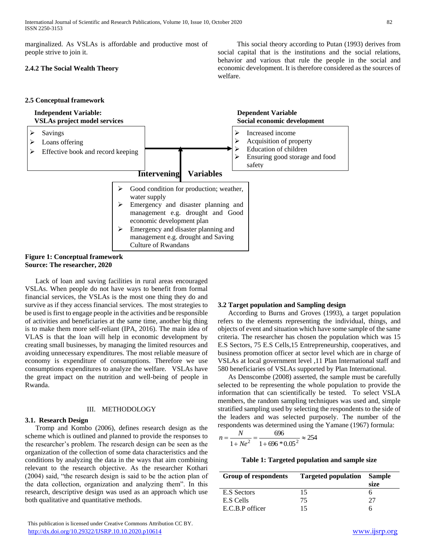marginalized. As VSLAs is affordable and productive most of people strive to join it.

## **2.4.2 The Social Wealth Theory**

 This social theory according to Putan (1993) derives from social capital that is the institutions and the social relations, behavior and various that rule the people in the social and economic development. It is therefore considered as the sources of welfare.

# **2.5 Conceptual framework**



## **Figure 1: Conceptual framework Source: The researcher, 2020**

 Lack of loan and saving facilities in rural areas encouraged VSLAs. When people do not have ways to benefit from formal financial services, the VSLAs is the most one thing they do and survive as if they access financial services. The most strategies to be used is first to engage people in the activities and be responsible of activities and beneficiaries at the same time, another big thing is to make them more self-reliant (IPA, 2016). The main idea of VLAS is that the loan will help in economic development by creating small businesses, by managing the limited resources and avoiding unnecessary expenditures. The most reliable measure of economy is expenditure of consumptions. Therefore we use consumptions expenditures to analyze the welfare. VSLAs have the great impact on the nutrition and well-being of people in Rwanda.

#### III. METHODOLOGY

## **3.1. Research Design**

 Tromp and Kombo (2006), defines research design as the scheme which is outlined and planned to provide the responses to the researcher's problem. The research design can be seen as the organization of the collection of some data characteristics and the conditions by analyzing the data in the ways that aim combining relevant to the research objective. As the researcher Kothari (2004) said, "the research design is said to be the action plan of the data collection, organization and analyzing them". In this research, descriptive design was used as an approach which use both qualitative and quantitative methods.

# **3.2 Target population and Sampling design**

 According to Burns and Groves (1993), a target population refers to the elements representing the individual, things, and objects of event and situation which have some sample of the same criteria. The researcher has chosen the population which was 15 E.S Sectors, 75 E.S Cells,15 Entrepreneurship, cooperatives, and business promotion officer at sector level which are in charge of VSLAs at local government level ,11 Plan International staff and 580 beneficiaries of VSLAs supported by Plan International.

 As Denscombe (2008) asserted, the sample must be carefully selected to be representing the whole population to provide the information that can scientifically be tested. To select VSLA members, the random sampling techniques was used and, simple stratified sampling used by selecting the respondents to the side of the leaders and was selected purposely. The number of the respondents was determined using the Yamane (1967) formula:  $606$ 

$$
n = \frac{N}{1 + Ne^2} = \frac{696}{1 + 696 * 0.05^2} \approx 254
$$

#### **Table 1: Targeted population and sample size**

| <b>Group of respondents</b> | <b>Targeted population</b> | <b>Sample</b> |
|-----------------------------|----------------------------|---------------|
|                             |                            | size          |
| E.S Sectors                 | 15                         |               |
| E.S Cells                   | 75                         | 77            |
| E.C.B.P officer             | 15                         |               |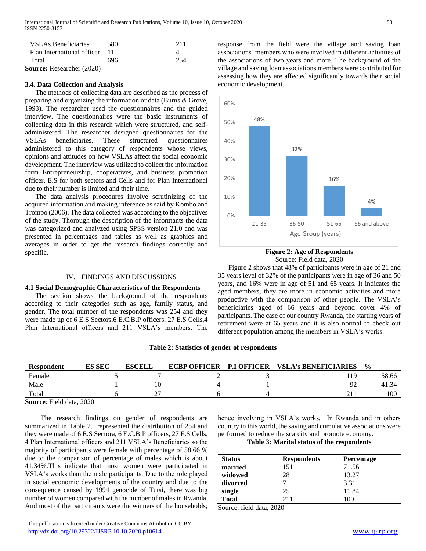| <b>VSLAs Beneficiaries</b>    | 580 | 211 |
|-------------------------------|-----|-----|
| Plan International officer 11 |     |     |
| Total                         | 696 | 254 |

**Source:** Researcher (2020)

# **3.4. Data Collection and Analysis**

 The methods of collecting data are described as the process of preparing and organizing the information or data (Burns & Grove, 1993). The researcher used the questionnaires and the guided interview. The questionnaires were the basic instruments of collecting data in this research which were structured, and selfadministered. The researcher designed questionnaires for the VSLAs beneficiaries. These structured questionnaires administered to this category of respondents whose views, opinions and attitudes on how VSLAs affect the social economic development. The interview was utilized to collect the information form Entrepreneurship, cooperatives, and business promotion officer, E.S for both sectors and Cells and for Plan International due to their number is limited and their time.

 The data analysis procedures involve scrutinizing of the acquired information and making inference as said by Kombo and Trompo (2006). The data collected was according to the objectives of the study. Thorough the description of the informants the data was categorized and analyzed using SPSS version 21.0 and was presented in percentages and tables as well as graphics and averages in order to get the research findings correctly and specific.

## IV. FINDINGS AND DISCUSSIONS

#### **4.1 Social Demographic Characteristics of the Respondents**

 The section shows the background of the respondents according to their categories such as age, family status, and gender. The total number of the respondents was 254 and they were made up of 6 E.S Sectors,6 E.C.B.P officers, 27 E.S Cells,4 Plan International officers and 211 VSLA's members. The response from the field were the village and saving loan associations' members who were involved in different activities of the associations of two years and more. The background of the village and saving loan associations members were contributed for assessing how they are affected significantly towards their social economic development.



## **Figure 2: Age of Respondents** Source: Field data, 2020

 Figure 2 shows that 48% of participants were in age of 21 and 35 years level of 32% of the participants were in age of 36 and 50 years, and 16% were in age of 51 and 65 years. It indicates the aged members, they are more in economic activities and more productive with the comparison of other people. The VSLA's beneficiaries aged of 66 years and beyond cover 4% of participants. The case of our country Rwanda, the starting years of retirement were at 65 years and it is also normal to check out different population among the members in VSLA's works.

# **Table 2: Statistics of gender of respondents**

| <b>Respondent</b> | ES SEC | <b>ESCELL</b> | <b>ECBP OFFICER</b> | <b>P.I OFFICER</b> | <b>VSLA's BENEFICIARIES</b> | $\frac{0}{0}$ |
|-------------------|--------|---------------|---------------------|--------------------|-----------------------------|---------------|
| Female            |        |               |                     |                    | 119                         | 58.66         |
| Male              |        | 10            |                     |                    | 92                          | 41.34         |
| Total             |        | $\sim$<br>∼   |                     |                    |                             | 100           |

**Source**: Field data, 2020

 The research findings on gender of respondents are summarized in Table 2. represented the distribution of 254 and they were made of 6 E.S Sectora, 6 E.C.B.P officers, 27 E.S Cells, 4 Plan International officers and 211 VSLA's Beneficiaries so the majority of participants were female with percentage of 58.66 % due to the comparison of percentage of males which is about 41.34%.This indicate that most women were participated in VSLA's works than the male participants. Due to the role played in social economic developments of the country and due to the consequence caused by 1994 genocide of Tutsi, there was big number of women compared with the number of males in Rwanda. And most of the participants were the winners of the households; hence involving in VSLA's works. In Rwanda and in others country in this world, the saving and cumulative associations were performed to reduce the scarcity and promote economy.

**Table 3: Marital status of the respondents**

| <b>Status</b> | <b>Respondents</b> | <b>Percentage</b> |
|---------------|--------------------|-------------------|
| married       | 151                | 71.56             |
| widowed       | 28                 | 13.27             |
| divorced      |                    | 3.31              |
| single        | 25                 | 11.84             |
| <b>Total</b>  | 211                | 100               |

Source: field data, 2020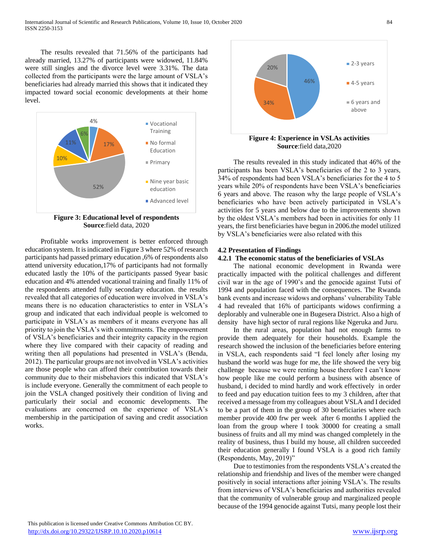The results revealed that 71.56% of the participants had already married, 13.27% of participants were widowed, 11.84% were still singles and the divorce level were 3.31%. The data collected from the participants were the large amount of VSLA's beneficiaries had already married this shows that it indicated they impacted toward social economic developments at their home level.



**Source**:field data, 2020

 Profitable works improvement is better enforced through education system. It is indicated in Figure 3 where 52% of research participants had passed primary education ,6% of respondents also attend university education,17% of participants had not formally educated lastly the 10% of the participants passed 9year basic education and 4% attended vocational training and finally 11% of the respondents attended fully secondary education. the results revealed that all categories of education were involved in VSLA's means there is no education characteristics to enter in VSLA's group and indicated that each individual people is welcomed to participate in VSLA's as members of it means everyone has all priority to join the VSLA's with commitments. The empowerment of VSLA's beneficiaries and their integrity capacity in the region where they live compared with their capacity of reading and writing then all populations had presented in VSLA's (Benda, 2012). The particular groups are not involved in VSLA's activities are those people who can afford their contribution towards their community due to their misbehaviors this indicated that VSLA's is include everyone. Generally the commitment of each people to join the VSLA changed positively their condition of living and particularly their social and economic developments. The evaluations are concerned on the experience of VSLA's membership in the participation of saving and credit association works.



 The results revealed in this study indicated that 46% of the participants has been VSLA's beneficiaries of the 2 to 3 years, 34% of respondents had been VSLA's beneficiaries for the 4 to 5 years while 20% of respondents have been VSLA's beneficiaries 6 years and above. The reason why the large people of VSLA's beneficiaries who have been actively participated in VSLA's activities for 5 years and below due to the improvements shown by the oldest VSLA's members had been in activities for only 11 years, the first beneficiaries have begun in 2006.the model utilized by VSLA's beneficiaries were also related with this

## **4.2 Presentation of Findings**

## **4.2.1 The economic status of the beneficiaries of VSLAs**

 The national economic development in Rwanda were practically impacted with the political challenges and different civil war in the age of 1990's and the genocide against Tutsi of 1994 and population faced with the consequences. The Rwanda bank events and increase widows and orphans' vulnerability Table 4 had revealed that 16% of participants widows confirming a deplorably and vulnerable one in Bugesera District. Also a high of density have high sector of rural regions like Ngeruka and Juru.

 In the rural areas, population had not enough farms to provide them adequately for their households. Example the research showed the inclusion of the beneficiaries before entering in VSLA, each respondents said "I feel lonely after losing my husband the world was huge for me, the life showed the very big challenge because we were renting house therefore I can't know how people like me could perform a business with absence of husband, i decided to mind hardly and work effectively in order to feed and pay education tuition fees to my 3 children, after that received a message from my colleagues about VSLA and I decided to be a part of them in the group of 30 beneficiaries where each member provide 400 frw per week after 6 months I applied the loan from the group where I took 30000 for creating a small business of fruits and all my mind was changed completely in the reality of business, thus I build my house, all children succeeded their education generally I found VSLA is a good rich family (Respondents, May, 2019)"

 Due to testimonies from the respondents VSLA's created the relationship and friendship and lives of the member were changed positively in social interactions after joining VSLA's. The results from interviews of VSLA's beneficiaries and authorities revealed that the community of vulnerable group and marginalized people because of the 1994 genocide against Tutsi, many people lost their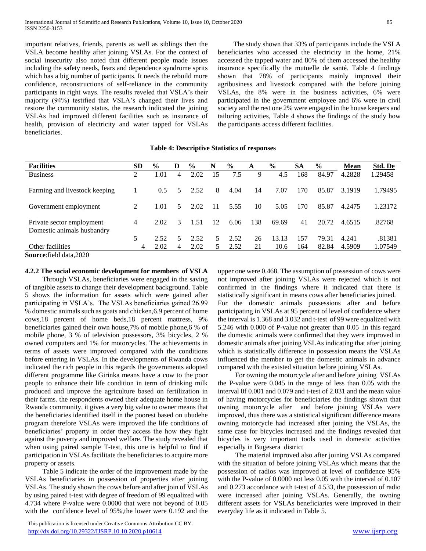important relatives, friends, parents as well as siblings then the VSLA become healthy after joining VSLAs. For the context of social insecurity also noted that different people made issues including the safety needs, fears and dependence syndrome sprits which has a big number of participants. It needs the rebuild more confidence, reconstructions of self-reliance in the community participants in right ways. The results reveled that VSLA's their majority (94%) testified that VSLA's changed their lives and restore the community status. the research indicated the joining VSLAs had improved different facilities such as insurance of health, provision of electricity and water tapped for VSLAs beneficiaries.

 The study shown that 33% of participants include the VSLA beneficiaries who accessed the electricity in the home, 21% accessed the tapped water and 80% of them accessed the healthy insurance specifically the mutuelle de santé. Table 4 findings shown that 78% of participants mainly improved their agribusiness and livestock compared with the before joining VSLAs, the 8% were in the business activities, 6% were participated in the government employee and 6% were in civil society and the rest one 2% were engaged in the house keepers and tailoring activities, Table 4 shows the findings of the study how the participants access different facilities.

## **Table 4: Descriptive Statistics of responses**

| <b>Facilities</b>                                       | <b>SD</b>     | $\frac{6}{9}$ | D | $\frac{0}{0}$ | N  | $\frac{6}{9}$ | A   | $\frac{0}{0}$ | <b>SA</b> | $\frac{6}{9}$ | <b>Mean</b> | Std. De |
|---------------------------------------------------------|---------------|---------------|---|---------------|----|---------------|-----|---------------|-----------|---------------|-------------|---------|
| <b>Business</b>                                         |               | 1.01          | 4 | 2.02          | 15 | 7.5           | 9   | 4.5           | 168       | 84.97         | 4.2828      | 1.29458 |
| Farming and livestock keeping                           |               | $0.5^{\circ}$ | 5 | 2.52          | 8  | 4.04          | 14  | 7.07          | 170       | 85.87         | 3.1919      | 1.79495 |
| Government employment                                   | $\mathcal{L}$ | 1.01          | 5 | 2.02          | 11 | 5.55          | 10  | 5.05          | 170       | 85.87         | 4.2475      | 1.23172 |
| Private sector employment<br>Domestic animals husbandry | 4             | 2.02          | 3 | 1.51          | 12 | 6.06          | 138 | 69.69         | 41        | 20.72         | 4.6515      | .82768  |
|                                                         |               | 2.52          | 5 | 2.52          | 5. | 2.52          | 26  | 13.13         | 157       | 79.31         | 4.241       | .81381  |
| Other facilities                                        | 4             | 2.02          | 4 | 2.02          | 5  | 2.52          | 21  | 10.6          | 164       | 82.84         | 4.5909      | 1.07549 |

**Source**:field data,2020

## **4.2.2 The social economic development for members of VSLA**

 Through VSLAs, beneficiaries were engaged in the saving of tangible assets to change their development background. Table 5 shows the information for assets which were gained after participating in VSLA's. The VSLAs beneficiaries gained 26.99 % domestic animals such as goats and chicken,6.9 percent of home cows,18 percent of home beds,18 percent mattress, 9% beneficiaries gained their own house,7% of mobile phone,6 % of mobile phone, 3 % of television possessors, 3% bicycles, 2 % owned computers and 1% for motorcycles. The achievements in terms of assets were improved compared with the conditions before entering in VSLAs. In the developments of Rwanda cows indicated the rich people in this regards the governments adopted different programme like Girinka means have a cow to the poor people to enhance their life condition in term of drinking milk produced and improve the agriculture based on fertilization in their farms. the respondents owned their adequate home house in Rwanda community, it gives a very big value to owner means that the beneficiaries identified itself in the poorest based on ubudehe program therefore VSLAs were improved the life conditions of beneficiaries' property in order they access the how they fight against the poverty and improved welfare. The study revealed that when using paired sample T-test, this one is helpful to find if participation in VSLAs facilitate the beneficiaries to acquire more property or assets.

 Table 5 indicate the order of the improvement made by the VSLAs beneficiaries in possession of properties after joining VSLAs. The study shown the cows before and after join of VSLAs by using paired t-test with degree of freedom of 99 equalized with 4.734 where P-value were 0.0000 that were not beyond of 0.05 with the confidence level of 95%,the lower were 0.192 and the

 This publication is licensed under Creative Commons Attribution CC BY. <http://dx.doi.org/10.29322/IJSRP.10.10.2020.p10614> [www.ijsrp.org](http://ijsrp.org/)

upper one were 0.468. The assumption of possession of cows were not improved after joining VSLAs were rejected which is not confirmed in the findings where it indicated that there is statistically significant in means cows after beneficiaries joined. For the domestic animals possessions after and before participating in VSLAs at 95 percent of level of confidence where the interval is 1.368 and 3.032 and t-test of 99 were equalized with 5.246 with 0.000 of P-value not greater than 0.05 .in this regard the domestic animals were confirmed that they were improved in domestic animals after joining VSLAs indicating that after joining which is statistically difference in possession means the VSLAs influenced the member to get the domestic animals in advance compared with the existed situation before joining VSLAs.

 For owning the motorcycle after and before joining VSLAs the P-value were 0.045 in the range of less than 0.05 with the interval 0f 0.001 and 0.079 and t-test of 2.031 and the mean value of having motorcycles for beneficiaries the findings shown that owning motorcycle after and before joining VSLAs were improved, thus there was a statistical significant difference means owning motorcycle had increased after joining the VSLAs, the same case for bicycles increased and the findings revealed that bicycles is very important tools used in domestic activities especially in Bugesera district

 The material improved also after joining VSLAs compared with the situation of before joining VSLAs which means that the possession of radios was improved at level of confidence 95% with the P-value of 0.0000 not less 0.05 with the interval of 0.107 and 0.273 accordance with t-test of 4.533, the possession of radio were increased after joining VSLAs. Generally, the owning different assets for VSLAs beneficiaries were improved in their everyday life as it indicated in Table 5.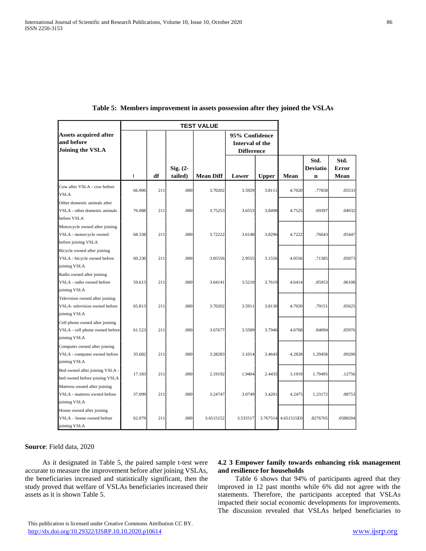|                                                                                  |        |     | <b>TEST VALUE</b>     |                  |                                                        |              |                     |                                        |                       |
|----------------------------------------------------------------------------------|--------|-----|-----------------------|------------------|--------------------------------------------------------|--------------|---------------------|----------------------------------------|-----------------------|
| <b>Assets acquired after</b><br>and before<br><b>Joining the VSLA</b>            |        |     |                       |                  | 95% Confidence<br>Interval of the<br><b>Difference</b> |              |                     |                                        |                       |
|                                                                                  | t      | df  | $Sig. (2-$<br>tailed) | <b>Mean Diff</b> | Lower                                                  | <b>Upper</b> | Mean                | Std.<br><b>Deviatio</b><br>$\mathbf n$ | Std.<br>Error<br>Mean |
| Cow after VSLA - cow before<br><b>VSLA</b>                                       | 66.906 | 211 | .000                  | 3.70202          | 3.5929                                                 | 3.8111       | 4.7020              | .77858                                 | .05533                |
| Other domestic animals after<br>VSLA - other domestic animals<br>before VSLA     | 76.088 | 211 | .000                  | 3.75253          | 3.6553                                                 | 3.8498       | 4.7525              | .69397                                 | .04932                |
| Motorcycle owned after joining<br>VSLA - motorcycle owned<br>before joining VSLA | 68.338 | 211 | .000                  | 3.72222          | 3.6148                                                 | 3.8296       | 4.7222              | .76643                                 | .05447                |
| Bicycle owned after joining<br>VSLA - bicycle owned before<br>joining VSLA       | 60.230 | 211 | .000                  | 3.05556          | 2.9555                                                 | 3.1556       | 4.0556              | .71385                                 | .05073                |
| Radio owned after joining<br>VSLA - radio owned before<br>joining VSLA           | 59.613 | 211 | .000                  | 3.64141          | 3.5210                                                 | 3.7619       | 4.6414              | .85953                                 | .06108                |
| Television owned after joining<br>VSLA- television owned before<br>joining VSLA  | 65.813 | 211 | .000                  | 3.70202          | 3.5911                                                 | 3.8130       | 4.7020              | .79151                                 | .05625                |
| Cell phone owned after joining<br>VSLA - cell phone owned before<br>joining VSLA | 61.523 | 211 | .000                  | 3.67677          | 3.5589                                                 | 3.7946       | 4.6768              | .84094                                 | .05976                |
| Computer owned after joining<br>VSLA - computer owned before<br>joining VSLA     | 35.682 | 211 | .000                  | 3.28283          | 3.1014                                                 | 3.4643       | 4.2828              | 1.29458                                | .09200                |
| Bed owned after joining VSLA -<br>bed owned before joining VSLA                  | 17.183 | 211 | .000                  | 2.19192          | 1.9404                                                 | 2.4435       | 3.1919              | 1.79495                                | .12756                |
| Mattress owned after joining<br>VSLA - mattress owned before<br>joining VSLA     | 37.099 | 211 | .000                  | 3.24747          | 3.0749                                                 | 3.4201       | 4.2475              | 1.23172                                | .08753                |
| House owned after joining<br>VSLA - house owned before<br>joining VSLA           | 62.079 | 211 | .000                  | 3.6515152        | 3.535517                                               |              | 3.767514 4.651515E0 | .8276765                               | .0588204              |

# **Table 5: Members improvement in assets possession after they joined the VSLAs**

## **Source**: Field data, 2020

 As it designated in Table 5, the paired sample t-test were accurate to measure the improvement before after joining VSLAs, the beneficiaries increased and statistically significant, then the study proved that welfare of VSLAs beneficiaries increased their assets as it is shown Table 5.

# **4.2 3 Empower family towards enhancing risk management and resilience for households**

 Table 6 shows that 94% of participants agreed that they improved in 12 past months while 6% did not agree with the statements. Therefore, the participants accepted that VSLAs impacted their social economic developments for improvements. The discussion revealed that VSLAs helped beneficiaries to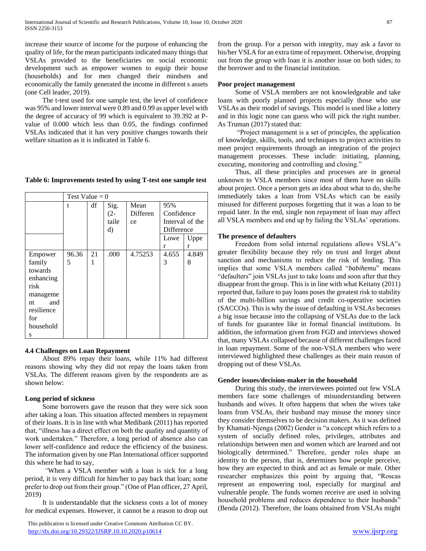increase their source of income for the purpose of enhancing the quality of life, for the mean participants indicated many things that VSLAs provided to the beneficiaries on social economic development such as empower women to equip their house (households) and for men changed their mindsets and economically the family generated the income in different s assets (one Cell leader, 2019).

 The t-test used for one sample test, the level of confidence was 95% and lower interval were 0.89 and 0.99 as upper level with the degree of accuracy of 99 which is equivalent to 39.392 at Pvalue of 0.000 which less than 0.05, the findings confirmed VSLAs indicated that it has very positive changes towards their welfare situation as it is indicated in Table 6.

## **Table 6: Improvements tested by using T-test one sample test**

|            | Test Value = $0$ |    |       |          |                 |       |  |
|------------|------------------|----|-------|----------|-----------------|-------|--|
|            | t                | df | Sig.  | Mean     | 95%             |       |  |
|            |                  |    | (2-   | Differen | Confidence      |       |  |
|            |                  |    | taile | ce       | Interval of the |       |  |
|            |                  |    | d)    |          | Difference      |       |  |
|            |                  |    |       |          | Lowe            | Uppe  |  |
|            |                  |    |       |          | r               | r     |  |
| Empower    | 96.36            | 21 | .000  | 4.75253  | 4.655           | 4.849 |  |
| family     | 5                | 1  |       |          | 3               | 8     |  |
| towards    |                  |    |       |          |                 |       |  |
| enhancing  |                  |    |       |          |                 |       |  |
| risk       |                  |    |       |          |                 |       |  |
| manageme   |                  |    |       |          |                 |       |  |
| and<br>nt  |                  |    |       |          |                 |       |  |
| resilience |                  |    |       |          |                 |       |  |
| for        |                  |    |       |          |                 |       |  |
| household  |                  |    |       |          |                 |       |  |
| S          |                  |    |       |          |                 |       |  |

#### **4.4 Challenges on Loan Repayment**

 About 89% repay their loans, while 11% had different reasons showing why they did not repay the loans taken from VSLAs. The different reasons given by the respondents are as shown below:

## **Long period of sickness**

 Some borrowers gave the reason that they were sick soon after taking a loan. This situation affected members in repayment of their loans. It is in line with what Medibank (2011) has reported that, "illness has a direct effect on both the quality and quantity of work undertaken." Therefore, a long period of absence also can lower self-confidence and reduce the efficiency of the business. The information given by one Plan International officer supported this where he had to say,

 *"*When a VSLA member with a loan is sick for a long period, it is very difficult for him/her to pay back that loan; some prefer to drop out from their group." (One of Plan officer, 27 April, 2019)

 It is understandable that the sickness costs a lot of money for medical expenses. However, it cannot be a reason to drop out

 This publication is licensed under Creative Commons Attribution CC BY. <http://dx.doi.org/10.29322/IJSRP.10.10.2020.p10614> [www.ijsrp.org](http://ijsrp.org/)

from the group. For a person with integrity, may ask a favor to his/her VSLA for an extra time of repayment. Otherwise, dropping out from the group with loan it is another issue on both sides; to the borrower and to the financial institution.

## **Poor project management**

 Some of VSLA members are not knowledgeable and take loans with poorly planned projects especially those who use VSLAs as their model of savings. This model is used like a lottery and in this logic none can guess who will pick the right number. As Truman (2017) stated that:

 "Project management is a set of principles, the application of knowledge, skills, tools, and techniques to project activities to meet project requirements through an integration of the project management processes. These include: initiating, planning, executing, monitoring and controlling and closing."

 Thus, all these principles and processes are in general unknown to VSLA members since most of them have no skills about project. Once a person gets an idea about what to do, she/he immediately takes a loan from VSLAs which can be easily misused for different purposes forgetting that it was a loan to be repaid later. In the end, single non repayment of loan may affect all VSLA members and end up by failing the VSLAs' operations.

## **The presence of defaulters**

 Freedom from solid internal regulations allows VSLA"s greater flexibility because they rely on trust and forget about sanction and mechanisms to reduce the risk of lending. This implies that some VSLA members called "*babihemu*" means "defaulters" join VSLAs just to take loans and soon after that they disappear from the group. This is in line with what Keitany (2011) reported that, failure to pay loans poses the greatest risk to stability of the multi-billion savings and credit co-operative societies (SACCOs). This is why the issue of defaulting in VSLAs becomes a big issue because into the collapsing of VSLAs due to the lack of funds for guarantee like in formal financial institutions. In addition, the information given from FGD and interviews showed that, many VSLAs collapsed because of different challenges faced in loan repayment. Some of the non-VSLA members who were interviewed highlighted these challenges as their main reason of dropping out of these VSLAs.

#### **Gender issues/decision-maker in the household**

 During this study, the interviewees pointed out few VSLA members face some challenges of misunderstanding between husbands and wives. It often happens that when the wives take loans from VSLAs, their husband may misuse the money since they consider themselves to be decision makers. As it was defined by Khamati-Njenga (2002) Gender is "a concept which refers to a system of socially defined roles, privileges, attributes and relationships between men and women which are learned and not biologically determined." Therefore, gender roles shape an identity to the person, that is, determines how people perceive, how they are expected to think and act as female or male. Other researcher emphasizes this point by arguing that, "Roscas represent an empowering tool, especially for marginal and vulnerable people. The funds women receive are used in solving household problems and reduces dependence to their husbands" (Benda (2012). Therefore, the loans obtained from VSLAs might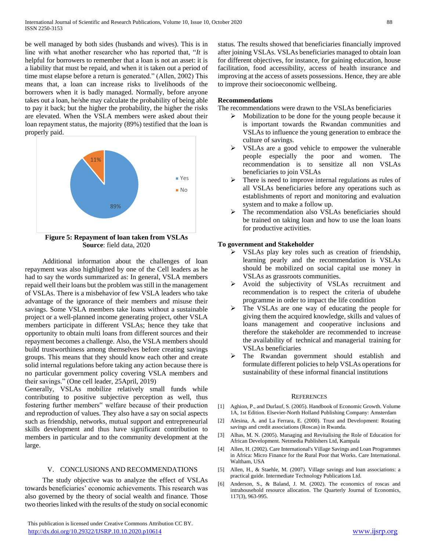be well managed by both sides (husbands and wives). This is in line with what another researcher who has reported that, "*It* is helpful for borrowers to remember that a loan is not an asset: it is a liability that must be repaid, and when it is taken out a period of time must elapse before a return is generated." (Allen, 2002) This means that, a loan can increase risks to livelihoods of the borrowers when it is badly managed. Normally, before anyone takes out a loan, he/she may calculate the probability of being able to pay it back; but the higher the probability, the higher the risks are elevated. When the VSLA members were asked about their loan repayment status, the majority (89%) testified that the loan is properly paid.



**Source**: field data, 2020

 Additional information about the challenges of loan repayment was also highlighted by one of the Cell leaders as he had to say the words summarized as: In general, VSLA members repaid well their loans but the problem was still in the management of VSLAs. There is a misbehavior of few VSLA leaders who take advantage of the ignorance of their members and misuse their savings. Some VSLA members take loans without a sustainable project or a well-planned income generating project, other VSLA members participate in different VSLAs; hence they take that opportunity to obtain multi loans from different sources and their repayment becomes a challenge. Also, the VSLA members should build trustworthiness among themselves before creating savings groups. This means that they should know each other and create solid internal regulations before taking any action because there is no particular government policy covering VSLA members and their savings." (One cell leader, 25April, 2019)

Generally, VSLAs mobilize relatively small funds while contributing to positive subjective perception as well, thus fostering further members" welfare because of their production and reproduction of values. They also have a say on social aspects such as friendship, networks, mutual support and entrepreneurial skills development and thus have significant contribution to members in particular and to the community development at the large.

# V. CONCLUSIONS AND RECOMMENDATIONS

 The study objective was to analyze the effect of VSLAs towards beneficiaries' economic achievements. This research was also governed by the theory of social wealth and finance. Those two theories linked with the results of the study on social economic

 This publication is licensed under Creative Commons Attribution CC BY. <http://dx.doi.org/10.29322/IJSRP.10.10.2020.p10614> [www.ijsrp.org](http://ijsrp.org/)

status. The results showed that beneficiaries financially improved after joining VSLAs. VSLAs beneficiaries managed to obtain loan for different objectives, for instance, for gaining education, house facilitation, food accessibility, access of health insurance and improving at the access of assets possessions. Hence, they are able to improve their socioeconomic wellbeing.

## **Recommendations**

The recommendations were drawn to the VSLAs beneficiaries

- $\triangleright$  Mobilization to be done for the young people because it is important towards the Rwandan communities and VSLAs to influence the young generation to embrace the culture of savings.
- $\triangleright$  VSLAs are a good vehicle to empower the vulnerable people especially the poor and women. The recommendation is to sensitize all non VSLAs beneficiaries to join VSLAs
- $\triangleright$  There is need to improve internal regulations as rules of all VSLAs beneficiaries before any operations such as establishments of report and monitoring and evaluation system and to make a follow up.
- The recommendation also VSLAs beneficiaries should be trained on taking loan and how to use the loan loans for productive activities.

## **To government and Stakeholder**

- VSLAs play key roles such as creation of friendship, learning pearly and the recommendation is VSLAs should be mobilized on social capital use money in VSLAs as grassroots communities.
- Avoid the subjectivity of VSLAs recruitment and recommendation is to respect the criteria of ubudehe programme in order to impact the life condition
- $\triangleright$  The VSLAs are one way of educating the people for giving them the acquired knowledge, skills and values of loans management and cooperative inclusions and therefore the stakeholder are recommended to increase the availability of technical and managerial training for VSLAs beneficiaries
- > The Rwandan government should establish and formulate different policies to help VSLAs operations for sustainability of these informal financial institutions

#### **REFERENCES**

- [1] Aghion, P., and Durlauf, S. (2005). Handbook of Economic Growth. Volume 1A, 1st Edition. Elsevier-North Holland Publishing Company: Amsterdam
- [2] Alesina, A. and La Ferrara, E. (2000). Trust and Development: Rotating savings and credit associations (Roscas) in Rwanda.
- [3] Alhas, M. N. (2005). Managing and Revitalising the Role of Education for African Development. Netmedia Publishers Ltd, Kampala
- [4] Allen, H. (2002). Care International's Village Savings and Loan Programmes in Africa: Micro Finance for the Rural Poor that Works. Care International. Waltham, USA
- [5] Allen, H., & Staehle, M. (2007). Village savings and loan associations: a practical guide. Intermediate Technology Publications Ltd.
- [6] Anderson, S., & Baland, J. M. (2002). The economics of roscas and intrahousehold resource allocation. The Quarterly Journal of Economics, 117(3), 963-995.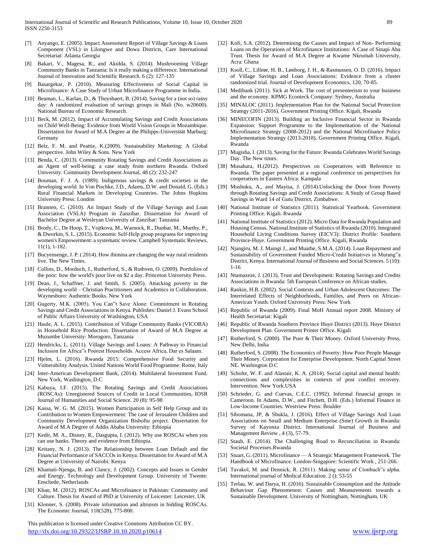- [7] Anyango, E. (2005). Impact Assessment Report of Village Savings & Loans Component (VSL) in Lilongwe and Dowa Districts, Care International Secretariat: Atlanta Georgia
- Bakari, V., Magesa, R., and Akidda, S. (2014). Mushrooming Village Community Banks in Tanzania: Is it really making a difference. International Journal of Innovation and Scientific Research. 6 (2): 127-135
- [9] Basargekar, P. (2010). Measuring Effectiveness of Social Capital in Microfinance: A Case Study of Urban Microfinance Programme in India.
- [10] Beaman, L., Karlan, D., & Thuysbaert, B. (2014). Saving for a (not so) rainy day: A randomized evaluation of savings groups in Mali (No. w20600). National Bureau of Economic Research.
- [11] Beck, M. (2012). Impact of Accumulating Savings and Credit Associations on Child Well-Being: Evidence from World Vision Groups in Mozambique. Dissertation for Award of M.A Degree at the Philipps-Universität Marburg: Germany
- [12] Belz, F. M. and Peattie, K.(2009). Sustainability Marketing: A Global perspective. John Wiley & Sons. New York
- [13] Benda, C. (2013). Community Rotating Savings and Credit Associations as an Agent of well-being: a case study from northern Rwanda. Oxford University. Community Development Journal, 48 (2): 232-247
- [14] Bouman, F. J. A. (1989). Indigenous savings & credit societies in the developing world. In Von Pischke, J.D., Adams, D.W. and Donald, G. (Eds.) Rural Financial Markets in Developing Countries. The Johns Hopkins University Press: London
- [15] Brannen, C. (2010). An Impact Study of the Village Savings and Loan Association (VSLA) Program in Zanzibar. Dissertation for Award of Bachelor Degree at Wesleyan University of Zanzibar: Tanzania
- [16] Brody, C., De Hoop, T., Vojtkova, M., Warnock, R., Dunbar, M., Murthy, P., & Dworkin, S. L. (2015). Economic Self‐Help group programs for improving women's Empowerment: a systematic review. Campbell Systematic Reviews, 11(1), 1-182.
- [17] Bucyensenge, J. P. ( 2014). How ibimina are changing the way rural residents live. The New Times.
- [18] Collins, D., Morduch, J., Rutherford, S., & Ruthven, O. (2009). Portfolios of the poor: how the world's poor live on \$2 a day. Princeton University Press.
- [19] Dean, J., Schaffner, J. and Smith, S. (2005). Attacking poverty in the developing world – Christian Practitioners and Academics in Collaboration. Waynesboro: Authentic Books. New York
- [20] Gugerty, M.K. (2005). You Can"t Save Alone: Commitment in Rotating Savings and Credit Associations in Kenya. Publishes: Daniel J. Evans School of Public Affairs University of Washington, USA
- [21] Haule, A. L. (2015). Contribution of Village Community Banks (VICOBA) in Household Rice Production. Dissertation of Award of M.A Degree at Muzumbe University: Morogoro, Tanzania
- [22] Hendricks, L. (2011). Village Savings and Loans: A Pathway to Financial Inclusion for Africa"s Poorest Households. Access Africa, Dar es Salaam.
- [23] Hjelm, L. (2016). Rwanda 2015: Comprehensive Food Security and Vulnerability Analysis. United Nations World Food Programme: Rome, Italy
- [24] Inter-American Development Bank, (2014). Multilateral Investment Fund. New York, Washington, D.C
- [25] Kabuya, I.F. (2015). The Rotating Savings and Credit Associations (ROSCAs): Unregistered Sources of Credit in Local Communities, IOSR Journal of Humanities and Social Science. 20 (8): 95-98
- [26] Kassa, W. G. M. (2015). Women Participation in Self Help Group and its Contribution to Women Empowerment: The case of Jerusalem Children and Community Development Organization Bishoftu project. Dissertation for Award of M.A Degree of Addis Ababa University: Ethiopia
- [27] Kedir, M. A., Disney, R., Dasgupta, I. (2012). Why use ROSCAs when you can use banks. Theory and evidence from Ethiopia.
- [28] Keitany, N. J. (2013). The Relationship between Loan Default and the Financial Performance of SACCOs in Kenya. Dissertation for Award of M.A Degree at University of Nairobi: Kenya
- [29] Khamati-Njenga, B. and Clancy, J. (2002). Concepts and Issues in Gender and Energy. Technology and Development Group. University of Twente: Enschede, Netherlands
- [30] Khan, M. (2012). ROSCAs and Microfinance in Pakistan: Community and Culture. Thesis for Award of PhD at University of Leicester: Leicester, UK
- [31] Klonner, S. (2008). Private information and altruism in bidding ROSCAs. The Economic Journal, 118(528), 775-800.

 This publication is licensed under Creative Commons Attribution CC BY. <http://dx.doi.org/10.29322/IJSRP.10.10.2020.p10614> [www.ijsrp.org](http://ijsrp.org/)

- [32] Kofi, S.A. (2012). Determining the Causes and Impact of Non- Performing Loans on the Operations of Microfinance Institutions: A Case of Sinapi Aba Trust. Thesis for Award of M.A Degree at Kwame Nkrumah University, Acra: Ghana
- [33] Ksoll, C., Lilleør, H. B., Lønborg, J. H., & Rasmussen, O. D. (2016). Impact of Village Savings and Loan Associations: Evidence from a cluster randomized trial. Journal of Development Economics, 120, 70-85.
- [34] Medibank (2011). Sick at Work. The cost of presenteeism to your business and the economy. KPMG Econteck Company: Sydney, Australia
- [35] MINALOC (2011). Implementation Plan for the National Social Protection Strategy (2011-2016). Government Printing Office. Kigali, Rwanda
- [36] MINECOFIN (2013). Building an Inclusive Financial Sector in Rwanda Expansion: Support Programme to the Implementation of the National Microfinance Strategy (2008-2012) and the National Microfinance Policy Implementation Strategy (2013-2018), Government Printing Office. Kigali, Rwanda
- [37] Mugisha, I. (2013). Saving for the Future: Rwanda Celebrates World Savings Day. The New times.
- [38] Musahara, H.(2012). Perspectives on Cooperatives with Reference to Rwanda. The paper presented at a regional conference on perspectives for cooperatives in Eastern Africa: Kampala
- [39] Mushuku, A., and Mayisa, J. (2014).Unlocking the Door from Poverty through Rotating Savings and Credit Associations: A Study of Group Based Savings in Ward 14 of Gutu District, Zimbabwe.
- [40] National Institute of Statistics (2011). Statistical Yearbook. Government Printing Office. Kigali. Rwanda
- [41] National Institute of Statistics (2012). Micro Data for Rwanda Population and Housing Census. National Institute of Statistics of Rwanda (2010). Integrated Household Living Conditions Survey (EICV3): District Profile: Southern Province-Huye. Government Printing Office. Kigali, Rwanda
- [42] Njangiru, M. J. Maingi J., and Muathe, S.M.A. (2014). Loan Repayment and Sustainability of Government Funded Micro-Credit Initiatives in Murang"a District, Kenya. International Journal of Business and Social Sciences. 5 (10): 1-16
- [43] Ntamazeze, J. (2013). Trust and Development: Rotating Savings and Credits Associations in Rwanda: 5th European Conference on African studies.
- [44] Rankin, H.B. (2002). Social Contexts and Urban Adolescent Outcomes: The Interrelated Effects of Neighborhoods, Families, and Peers on African-American Youth. Oxford University Press: New York
- [45] Republic of Rwanda (2009). Final MoH Annual report 2008. Ministry of Health Secretariat: Kigali
- [46] Republic of Rwanda Southern Province Huye District (2013). Huye District Development Plan. Government Printer Office. Kigali
- [47] Rutherford, S. (2000). The Poor & Their Money. Oxford University Press, New Delhi, India
- [48] Rutherford, S. (2008). The Economics of Poverty: How Poor People Manage Their Money. Corporation for Enterprise Development. North Capital Street NE. Washington D.C
- [49] Scholte, W. F. and Alastair, K. A. (2014). Social capital and mental health: connections and complexities in contexts of post conflict recovery. Intervention. New York.USA
- [50] Schrieder, G. and Cuevas, C.E.C. (1992). Informal financial groups in Cameroon. In Adams, D.W., and Fitchett, D.H. (Eds.) Informal Finance in Low-Income Countries. Westview Press: Boulder
- [51] Sibomana, JP, & Shukla, J. (2016). Effect of Village Savings And Loan Associations on Small and Medium Enterprise (Sme) Growth in Rwanda: Survey of Kayonza District. International Journal of Business and Management Review , 4 (3), 57-79.
- [52] Staub, E. (2014). The Challenging Road to Reconciliation in Rwanda: Societal Processes.Rwanda
- [53] Stuart, G. (2011). Microfinance A Strategic Management Framework. The Handbook of Microfinance. London-Singapore: Scientific Work , 251-266.
- [54] Tavakol, M. and Dennick, R. (2011). Making sense of Cronbach"s alpha. International journal of Medical Education. 2 (): 53-55
- [55] Terlau, W. and Darya, H. (2016). Sustainable Consumption and the Attitude Behaviour Gap Phenomenon: Causes and Measurements towards a Sustainable Development. University of Nottingham, Nottingham, UK